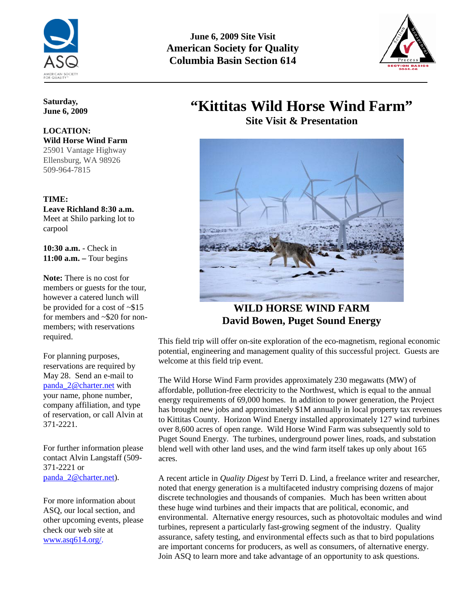

**June 6, 2009 Site Visit American Society for Quality Columbia Basin Section 614** 



### **Saturday, June 6, 2009**

### **LOCATION: Wild Horse Wind Farm**  25901 Vantage Highway Ellensburg, WA 98926 509-964-7815

## **TIME:**

**Leave Richland 8:30 a.m.** Meet at Shilo parking lot to carpool

**10:30 a.m.** - Check in **11:00 a.m. –** Tour begins

**Note:** There is no cost for members or guests for the tour, however a catered lunch will be provided for a cost of ~\$15 for members and ~\$20 for nonmembers; with reservations required.

For planning purposes, reservations are required by May 28. Send an e-mail to [panda\\_2@charter.net](mailto:panda_2@charter.net) with your name, phone number, company affiliation, and type of reservation, or call Alvin at 371-2221.

For further information please contact Alvin Langstaff (509- 371-2221 or [panda\\_2@charter.net\)](mailto:panda_2@charter.net).

For more information about ASQ, our local section, and other upcoming events, please check our web site at [www.asq614.org/.](http://www.asq614.org/)

# **"Kittitas Wild Horse Wind Farm"**

**Site Visit & Presentation**



**WILD HORSE WIND FARM David Bowen, Puget Sound Energy** 

This field trip will offer on-site exploration of the eco-magnetism, regional economic potential, engineering and management quality of this successful project. Guests are welcome at this field trip event.

The Wild Horse Wind Farm provides approximately 230 megawatts (MW) of affordable, pollution-free electricity to the Northwest, which is equal to the annual energy requirements of 69,000 homes. In addition to power generation, the Project has brought new jobs and approximately \$1M annually in local property tax revenues to Kittitas County. Horizon Wind Energy installed approximately 127 wind turbines over 8,600 acres of open range. Wild Horse Wind Farm was subsequently sold to Puget Sound Energy. The turbines, underground power lines, roads, and substation blend well with other land uses, and the wind farm itself takes up only about 165 acres.

A recent article in *Quality Digest* by Terri D. Lind, a freelance writer and researcher, noted that energy generation is a multifaceted industry comprising dozens of major discrete technologies and thousands of companies. Much has been written about these huge wind turbines and their impacts that are political, economic, and environmental. Alternative energy resources, such as photovoltaic modules and wind turbines, represent a particularly fast-growing segment of the industry. Quality assurance, safety testing, and environmental effects such as that to bird populations are important concerns for producers, as well as consumers, of alternative energy. Join ASQ to learn more and take advantage of an opportunity to ask questions.